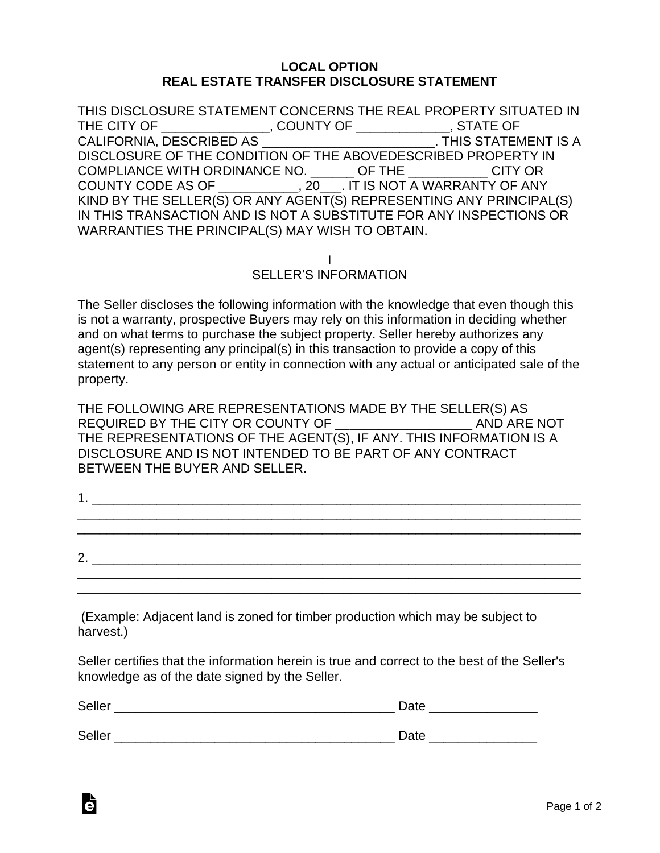## **LOCAL OPTION REAL ESTATE TRANSFER DISCLOSURE STATEMENT**

THIS DISCLOSURE STATEMENT CONCERNS THE REAL PROPERTY SITUATED IN THE CITY OF \_\_\_\_\_\_\_\_\_\_\_\_\_\_\_, COUNTY OF \_\_\_\_\_\_\_\_\_\_\_\_\_, STATE OF CALIFORNIA, DESCRIBED AS \_\_\_\_\_\_\_\_\_\_\_\_\_\_\_\_\_\_\_\_\_\_\_\_. THIS STATEMENT IS A DISCLOSURE OF THE CONDITION OF THE ABOVEDESCRIBED PROPERTY IN COMPLIANCE WITH ORDINANCE NO. \_\_\_\_\_\_ OF THE \_\_\_\_\_\_\_\_\_\_\_ CITY OR COUNTY CODE AS OF \_\_\_\_\_\_\_\_\_\_\_, 20\_\_\_. IT IS NOT A WARRANTY OF ANY KIND BY THE SELLER(S) OR ANY AGENT(S) REPRESENTING ANY PRINCIPAL(S) IN THIS TRANSACTION AND IS NOT A SUBSTITUTE FOR ANY INSPECTIONS OR WARRANTIES THE PRINCIPAL(S) MAY WISH TO OBTAIN.

I

SELLER'S INFORMATION

The Seller discloses the following information with the knowledge that even though this is not a warranty, prospective Buyers may rely on this information in deciding whether and on what terms to purchase the subject property. Seller hereby authorizes any agent(s) representing any principal(s) in this transaction to provide a copy of this statement to any person or entity in connection with any actual or anticipated sale of the property.

THE FOLLOWING ARE REPRESENTATIONS MADE BY THE SELLER(S) AS REQUIRED BY THE CITY OR COUNTY OF THE AND ARE NOT THE REPRESENTATIONS OF THE AGENT(S), IF ANY. THIS INFORMATION IS A DISCLOSURE AND IS NOT INTENDED TO BE PART OF ANY CONTRACT BETWEEN THE BUYER AND SELLER.

|    | <u>Listen var en som som som som som som som som s</u> |  |  |  |
|----|--------------------------------------------------------|--|--|--|
|    |                                                        |  |  |  |
|    |                                                        |  |  |  |
|    |                                                        |  |  |  |
| 2. |                                                        |  |  |  |
|    |                                                        |  |  |  |

\_\_\_\_\_\_\_\_\_\_\_\_\_\_\_\_\_\_\_\_\_\_\_\_\_\_\_\_\_\_\_\_\_\_\_\_\_\_\_\_\_\_\_\_\_\_\_\_\_\_\_\_\_\_\_\_\_\_\_\_\_\_\_\_\_\_\_\_\_\_

(Example: Adjacent land is zoned for timber production which may be subject to harvest.)

Seller certifies that the information herein is true and correct to the best of the Seller's knowledge as of the date signed by the Seller.

| Seller | Date |
|--------|------|
|        |      |
| Seller | Date |

Ġ